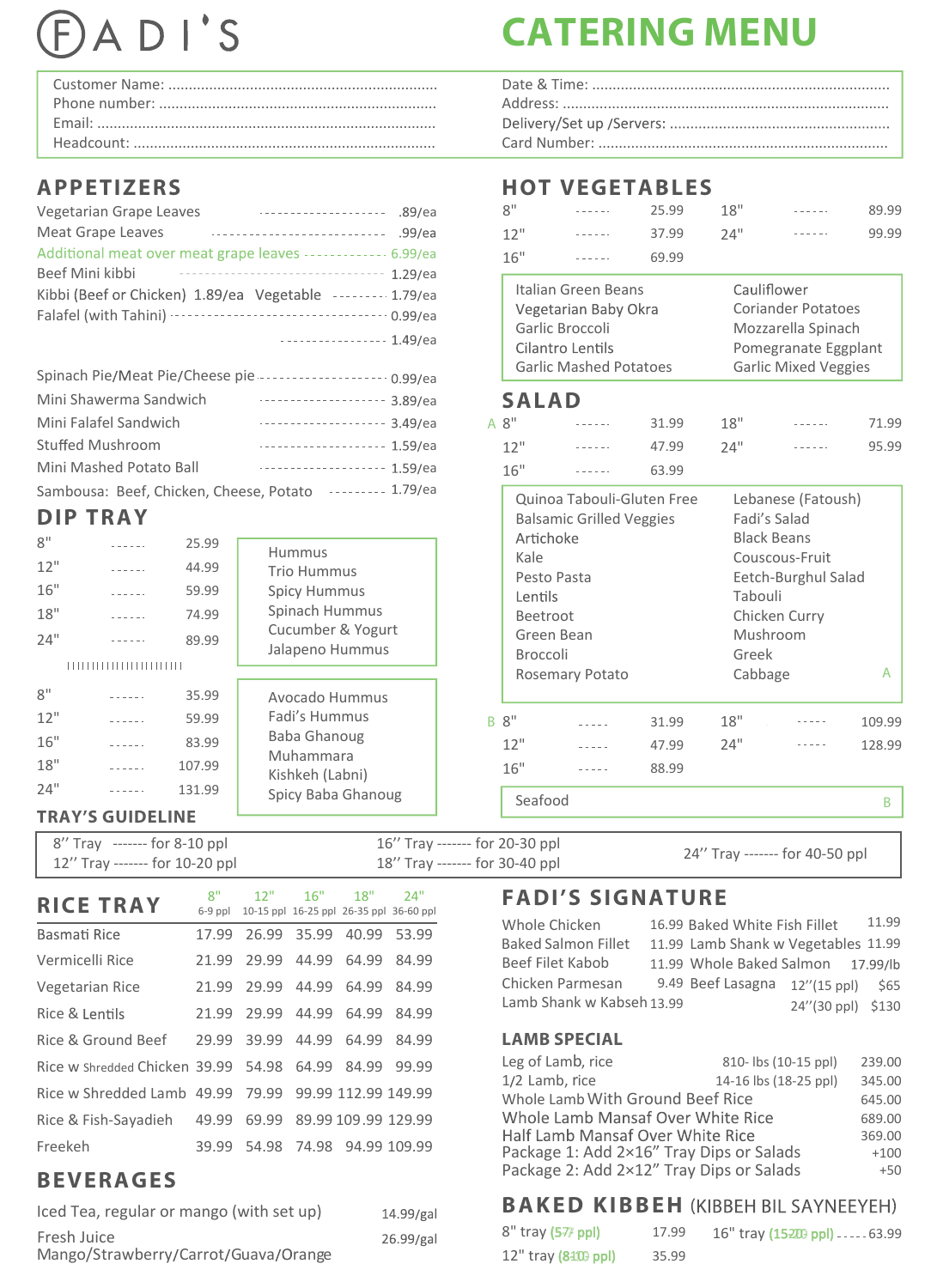# ADI'S

# **APPETIZERS**

| Vegetarian Grape Leaves<br>. - - - - - - - - - - - - - - - - - - 89/ea |        |
|------------------------------------------------------------------------|--------|
| <b>Meat Grape Leaves</b>                                               | .99/ea |
| Additional meat over meat grape leaves ------------- 6.99/ea           |        |
| Beef Mini kibbi<br>--------------------------------- 1.29/ea           |        |
| Kibbi (Beef or Chicken) 1.89/ea Vegetable -------- 1.79/ea             |        |
|                                                                        |        |
| . 1.49/ea                                                              |        |

| Spinach Pie/Meat Pie/Cheese pie ------------------- 0.99/ea |         |  |
|-------------------------------------------------------------|---------|--|
| Mini Shawerma Sandwich                                      |         |  |
| Mini Falafel Sandwich                                       |         |  |
| <b>Stuffed Mushroom</b>                                     |         |  |
| Mini Mashed Potato Ball                                     | 1.59/ea |  |
| Sambousa: Beef, Chicken, Cheese, Potato --------- 1.79/ea   |         |  |

# **DIP TRAY**

|                                | PIE INAI                                                                                    |                                           |                                                                                                               |                                                      | Dalsallillu Officeu Veggles |       |                  | Edul S Saldu                                                                                                                                                                                                                                                                                                                                                                                 |             |
|--------------------------------|---------------------------------------------------------------------------------------------|-------------------------------------------|---------------------------------------------------------------------------------------------------------------|------------------------------------------------------|-----------------------------|-------|------------------|----------------------------------------------------------------------------------------------------------------------------------------------------------------------------------------------------------------------------------------------------------------------------------------------------------------------------------------------------------------------------------------------|-------------|
| 8"<br>12"<br>16"<br>18"<br>24" | $- - - - - -$<br>$- - - - - -$<br>$- - - - - -$<br>$- - - - - -$<br>,,,,,,,,,,,,,,,,,,,,,,, | 25.99<br>44.99<br>59.99<br>74.99<br>89.99 | <b>Hummus</b><br>Trio Hummus<br><b>Spicy Hummus</b><br>Spinach Hummus<br>Cucumber & Yogurt<br>Jalapeno Hummus | Artichoke<br>Kale<br>Lentils<br>Beetroot<br>Broccoli | Pesto Pasta<br>Green Bean   |       | Tabouli<br>Greek | <b>Black Beans</b><br>Couscous-Fruit<br>Eetch-Burghul Salad<br>Chicken Curry<br>Mushroom                                                                                                                                                                                                                                                                                                     |             |
| 8"<br>12"                      | $- - - - - -$<br><u>.</u>                                                                   | 35.99<br>59.99                            | Avocado Hummus<br>Fadi's Hummus                                                                               | B 8"                                                 | Rosemary Potato             | 31.99 | Cabbage<br>18"   | $\omega_{\rm c} = 1.5 \pm 0.05$                                                                                                                                                                                                                                                                                                                                                              | A<br>109.99 |
| 16"                            | and a state                                                                                 | 83.99                                     | Baba Ghanoug<br>Muhammara                                                                                     | 12"                                                  | $- - - - -$                 | 47.99 | 24"              | $\frac{1}{2} \frac{1}{2} \frac{1}{2} \frac{1}{2} \frac{1}{2} \frac{1}{2} \frac{1}{2} \frac{1}{2} \frac{1}{2} \frac{1}{2} \frac{1}{2} \frac{1}{2} \frac{1}{2} \frac{1}{2} \frac{1}{2} \frac{1}{2} \frac{1}{2} \frac{1}{2} \frac{1}{2} \frac{1}{2} \frac{1}{2} \frac{1}{2} \frac{1}{2} \frac{1}{2} \frac{1}{2} \frac{1}{2} \frac{1}{2} \frac{1}{2} \frac{1}{2} \frac{1}{2} \frac{1}{2} \frac{$ | 128.99      |
| 18"<br>24"                     | $- - - - - -$<br>------                                                                     | 107.99<br>131.99                          | Kishkeh (Labni)<br>Spicy Baba Ghanoug                                                                         | 16"                                                  | $- - - - -$                 | 88.99 |                  |                                                                                                                                                                                                                                                                                                                                                                                              |             |
|                                | <b>TRAY'S GUIDELINE</b>                                                                     |                                           |                                                                                                               | Seafood                                              |                             |       |                  |                                                                                                                                                                                                                                                                                                                                                                                              | B           |

#### 8'' Tray ------- for 8-10 ppl 12'' Tray ------- for 10-20 ppl 16'' Tray ------- for 20-30 ppl 16'' Tray ------- for 20-30 ppl 24'' Tray ------- for 40-50 ppl<br>18'' Tray ------- for 30-40 ppl

| <b>RICE TRAY</b>                                     | 8"<br>$6-9$ ppl | 12"                           |             | $16"$ $18"$               | 24"<br>10-15 ppl 16-25 ppl 26-35 ppl 36-60 ppl |
|------------------------------------------------------|-----------------|-------------------------------|-------------|---------------------------|------------------------------------------------|
| Basmati Rice                                         | 17.99           |                               | 26.99 35.99 |                           | 40.99 53.99                                    |
| Vermicelli Rice                                      |                 | 21.99 29.99 44.99             |             | 64.99                     | 84.99                                          |
| <b>Vegetarian Rice</b>                               |                 | 21.99 29.99 44.99             |             | 64.99                     | 84.99                                          |
| Rice & Lentils                                       |                 | 21.99 29.99 44.99 64.99 84.99 |             |                           |                                                |
| Rice & Ground Beef                                   | 29.99           |                               | 39.99 44.99 | 64.99                     | 84.99                                          |
| Rice w Shredded Chicken 39.99 54.98 64.99 84.99      |                 |                               |             |                           | 99.99                                          |
| Rice w Shredded Lamb 49.99 79.99 99.99 112.99 149.99 |                 |                               |             |                           |                                                |
| Rice & Fish-Sayadieh 49.99                           |                 |                               |             | 69.99 89.99 109.99 129.99 |                                                |
| Freekeh                                              | 39.99           |                               |             | 54.98 74.98 94.99 109.99  |                                                |

# **BEVERAGES**

| Iced Tea, regular or mango (with set up)            | 14.99/gal |
|-----------------------------------------------------|-----------|
| Fresh Juice<br>Mango/Strawberry/Carrot/Guava/Orange | 26.99/gal |

# **CATERING MENU**

| 8"<br>12"<br>16" | <b>HOT VEGETABLES</b><br>Italian Green Beans<br>Vegetarian Baby Okra<br>Garlic Broccoli<br>Cilantro Lentils | 25.99<br>37.99<br>69.99 | 18"<br>74"    |                             | 89.99<br>99.99 |  |  |
|------------------|-------------------------------------------------------------------------------------------------------------|-------------------------|---------------|-----------------------------|----------------|--|--|
|                  |                                                                                                             |                         |               |                             |                |  |  |
|                  |                                                                                                             |                         |               |                             |                |  |  |
|                  |                                                                                                             |                         |               |                             |                |  |  |
|                  |                                                                                                             |                         |               |                             |                |  |  |
|                  |                                                                                                             |                         |               |                             |                |  |  |
|                  |                                                                                                             |                         |               |                             |                |  |  |
|                  |                                                                                                             |                         |               |                             |                |  |  |
|                  |                                                                                                             |                         |               |                             |                |  |  |
|                  |                                                                                                             |                         |               |                             |                |  |  |
|                  |                                                                                                             |                         |               | Cauliflower                 |                |  |  |
|                  |                                                                                                             |                         |               | <b>Coriander Potatoes</b>   |                |  |  |
|                  |                                                                                                             |                         |               | Mozzarella Spinach          |                |  |  |
|                  |                                                                                                             |                         |               | Pomegranate Eggplant        |                |  |  |
|                  | <b>Garlic Mashed Potatoes</b>                                                                               |                         |               | <b>Garlic Mixed Veggies</b> |                |  |  |
|                  | <b>SALAD</b>                                                                                                |                         |               |                             |                |  |  |
| A 8"             |                                                                                                             | 31.99                   | 18"           |                             | 71.99          |  |  |
| 12"              |                                                                                                             | 47.99                   | 74"           |                             | 95.99          |  |  |
| 16"              |                                                                                                             | 63.99                   |               |                             |                |  |  |
|                  | Quinoa Tabouli-Gluten Free                                                                                  |                         |               | Lebanese (Fatoush)          |                |  |  |
|                  | <b>Balsamic Grilled Veggies</b>                                                                             |                         |               | Fadi's Salad                |                |  |  |
|                  | Artichoke                                                                                                   |                         |               | <b>Black Beans</b>          |                |  |  |
|                  | Kale                                                                                                        |                         |               | Couscous-Fruit              |                |  |  |
|                  | Pesto Pasta                                                                                                 |                         |               | Eetch-Burghul Salad         |                |  |  |
|                  | Lentils                                                                                                     |                         | Tabouli       |                             |                |  |  |
|                  | Beetroot                                                                                                    |                         | Chicken Curry |                             |                |  |  |
|                  | Green Bean                                                                                                  |                         | Mushroom      |                             |                |  |  |
|                  | Broccoli                                                                                                    |                         | Greek         |                             |                |  |  |
|                  | Rosemary Potato                                                                                             |                         | Cabbage       |                             | А              |  |  |
| B 8"             |                                                                                                             | 31.99                   | 18"           |                             | 109.99         |  |  |
| 12"              |                                                                                                             | 47.99                   | 24"           |                             | 128.99         |  |  |
| 16"              |                                                                                                             | 88.99                   |               |                             |                |  |  |
|                  | Seafood                                                                                                     |                         |               |                             | B              |  |  |

# **FADI'S SIGNATURE**

| Whole Chicken              | 16.99 Baked White Fish Fillet       |                   | 11.99 |
|----------------------------|-------------------------------------|-------------------|-------|
| <b>Baked Salmon Fillet</b> | 11.99 Lamb Shank w Vegetables 11.99 |                   |       |
| Beef Filet Kabob           | 11.99 Whole Baked Salmon 17.99/lb   |                   |       |
| Chicken Parmesan           | 9.49 Beef Lasagna 12"(15 ppl) \$65  |                   |       |
| Lamb Shank w Kabseh 13.99  |                                     | 24"(30 ppl) \$130 |       |

### **LAMB SPECIAL**

| Leg of Lamb, rice                        | 810-lbs (10-15 ppl)   | 239.00 |
|------------------------------------------|-----------------------|--------|
| 1/2 Lamb, rice                           | 14-16 lbs (18-25 ppl) | 345.00 |
| Whole Lamb With Ground Beef Rice         |                       | 645.00 |
| Whole Lamb Mansaf Over White Rice        |                       | 689.00 |
| Half Lamb Mansaf Over White Rice         |                       | 369.00 |
| Package 1: Add 2×16" Tray Dips or Salads |                       | $+100$ |
| Package 2: Add 2×12" Tray Dips or Salads |                       | $+50$  |
|                                          |                       |        |

# **BAKED KIBBEH (KIBBEH BIL SAYNEEYEH)**

| $8"$ tray (5 $\overline{7}$ ppl) | 17.99 | $16"$ tray (15220 ppl) $---63.99$ |
|----------------------------------|-------|-----------------------------------|
| $12''$ tray (8410 ppl)           | 35.99 |                                   |